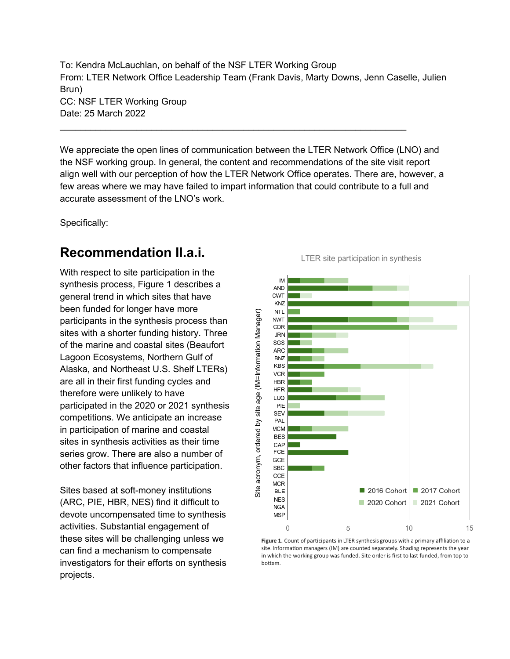To: Kendra McLauchlan, on behalf of the NSF LTER Working Group From: LTER Network Office Leadership Team (Frank Davis, Marty Downs, Jenn Caselle, Julien Brun) CC: NSF LTER Working Group Date: 25 March 2022

\_\_\_\_\_\_\_\_\_\_\_\_\_\_\_\_\_\_\_\_\_\_\_\_\_\_\_\_\_\_\_\_\_\_\_\_\_\_\_\_\_\_\_\_\_\_\_\_\_\_\_\_\_\_\_\_\_\_\_\_\_\_\_\_\_\_\_\_

We appreciate the open lines of communication between the LTER Network Office (LNO) and the NSF working group. In general, the content and recommendations of the site visit report align well with our perception of how the LTER Network Office operates. There are, however, a few areas where we may have failed to impart information that could contribute to a full and accurate assessment of the LNO's work.

Specifically:

#### **Recommendation II.a.i.**

With respect to site participation in the synthesis process, Figure 1 describes a general trend in which sites that have been funded for longer have more participants in the synthesis process than sites with a shorter funding history. Three of the marine and coastal sites (Beaufort Lagoon Ecosystems, Northern Gulf of Alaska, and Northeast U.S. Shelf LTERs) are all in their first funding cycles and therefore were unlikely to have participated in the 2020 or 2021 synthesis competitions. We anticipate an increase in participation of marine and coastal sites in synthesis activities as their time series grow. There are also a number of other factors that influence participation.

Sites based at soft-money institutions (ARC, PIE, HBR, NES) find it difficult to devote uncompensated time to synthesis activities. Substantial engagement of these sites will be challenging unless we can find a mechanism to compensate investigators for their efforts on synthesis projects.

LTER site participation in synthesis



Figure 1. Count of participants in LTER synthesis groups with a primary affiliation to a site. Information managers (IM) are counted separately. Shading represents the year in which the working group was funded. Site order is first to last funded, from top to bottom.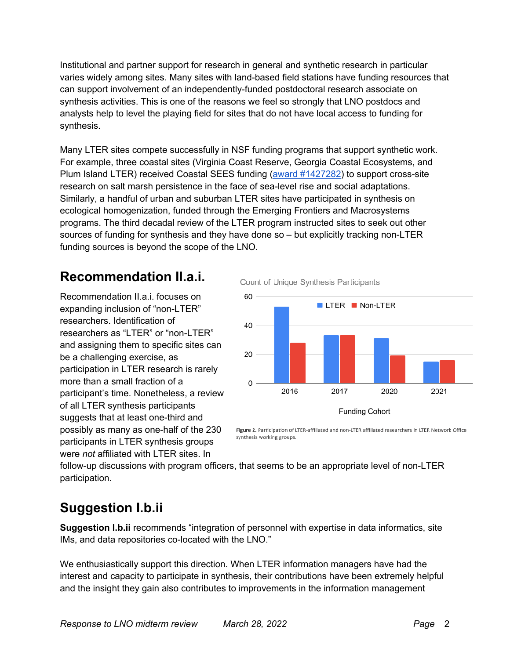Institutional and partner support for research in general and synthetic research in particular varies widely among sites. Many sites with land-based field stations have funding resources that can support involvement of an independently-funded postdoctoral research associate on synthesis activities. This is one of the reasons we feel so strongly that LNO postdocs and analysts help to level the playing field for sites that do not have local access to funding for synthesis.

Many LTER sites compete successfully in NSF funding programs that support synthetic work. For example, three coastal sites (Virginia Coast Reserve, Georgia Coastal Ecosystems, and Plum Island LTER) received Coastal SEES funding (award #1427282) to support cross-site research on salt marsh persistence in the face of sea-level rise and social adaptations. Similarly, a handful of urban and suburban LTER sites have participated in synthesis on ecological homogenization, funded through the Emerging Frontiers and Macrosystems programs. The third decadal review of the LTER program instructed sites to seek out other sources of funding for synthesis and they have done so – but explicitly tracking non-LTER funding sources is beyond the scope of the LNO.

# **Recommendation II.a.i.**

Recommendation II.a.i. focuses on expanding inclusion of "non-LTER" researchers. Identification of researchers as "LTER" or "non-LTER" and assigning them to specific sites can be a challenging exercise, as participation in LTER research is rarely more than a small fraction of a participant's time. Nonetheless, a review of all LTER synthesis participants suggests that at least one-third and possibly as many as one-half of the 230 participants in LTER synthesis groups were *not* affiliated with LTER sites. In



Figure 2. Participation of LTER-affiliated and non-LTER affiliated researchers in LTER Network Office synthesis working groups.

follow-up discussions with program officers, that seems to be an appropriate level of non-LTER participation.

# **Suggestion I.b.ii**

**Suggestion I.b.ii** recommends "integration of personnel with expertise in data informatics, site IMs, and data repositories co-located with the LNO."

We enthusiastically support this direction. When LTER information managers have had the interest and capacity to participate in synthesis, their contributions have been extremely helpful and the insight they gain also contributes to improvements in the information management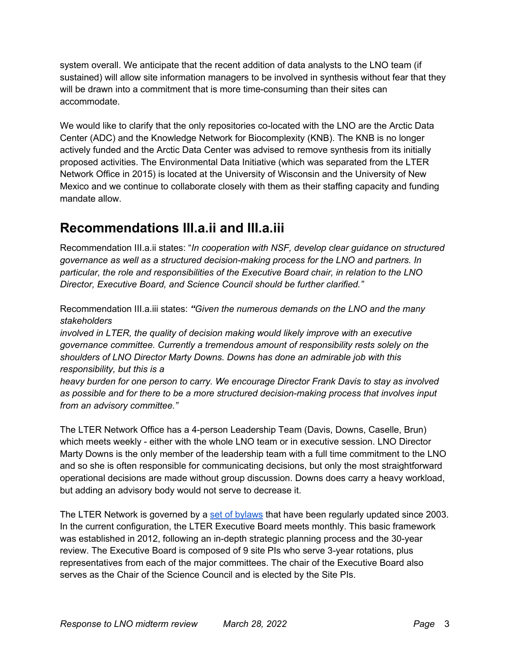system overall. We anticipate that the recent addition of data analysts to the LNO team (if sustained) will allow site information managers to be involved in synthesis without fear that they will be drawn into a commitment that is more time-consuming than their sites can accommodate.

We would like to clarify that the only repositories co-located with the LNO are the Arctic Data Center (ADC) and the Knowledge Network for Biocomplexity (KNB). The KNB is no longer actively funded and the Arctic Data Center was advised to remove synthesis from its initially proposed activities. The Environmental Data Initiative (which was separated from the LTER Network Office in 2015) is located at the University of Wisconsin and the University of New Mexico and we continue to collaborate closely with them as their staffing capacity and funding mandate allow.

### **Recommendations III.a.ii and III.a.iii**

Recommendation III.a.ii states: "*In cooperation with NSF, develop clear guidance on structured governance as well as a structured decision-making process for the LNO and partners. In particular, the role and responsibilities of the Executive Board chair, in relation to the LNO Director, Executive Board, and Science Council should be further clarified."*

Recommendation III.a.iii states: *"Given the numerous demands on the LNO and the many stakeholders*

*involved in LTER, the quality of decision making would likely improve with an executive governance committee. Currently a tremendous amount of responsibility rests solely on the shoulders of LNO Director Marty Downs. Downs has done an admirable job with this responsibility, but this is a*

*heavy burden for one person to carry. We encourage Director Frank Davis to stay as involved as possible and for there to be a more structured decision-making process that involves input from an advisory committee."*

The LTER Network Office has a 4-person Leadership Team (Davis, Downs, Caselle, Brun) which meets weekly - either with the whole LNO team or in executive session. LNO Director Marty Downs is the only member of the leadership team with a full time commitment to the LNO and so she is often responsible for communicating decisions, but only the most straightforward operational decisions are made without group discussion. Downs does carry a heavy workload, but adding an advisory body would not serve to decrease it.

The LTER Network is governed by a set of bylaws that have been regularly updated since 2003. In the current configuration, the LTER Executive Board meets monthly. This basic framework was established in 2012, following an in-depth strategic planning process and the 30-year review. The Executive Board is composed of 9 site PIs who serve 3-year rotations, plus representatives from each of the major committees. The chair of the Executive Board also serves as the Chair of the Science Council and is elected by the Site PIs.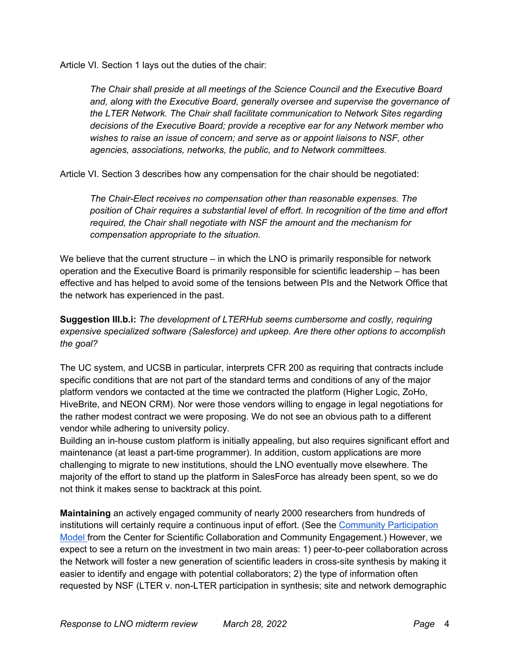Article VI. Section 1 lays out the duties of the chair:

*The Chair shall preside at all meetings of the Science Council and the Executive Board and, along with the Executive Board, generally oversee and supervise the governance of the LTER Network. The Chair shall facilitate communication to Network Sites regarding decisions of the Executive Board; provide a receptive ear for any Network member who wishes to raise an issue of concern; and serve as or appoint liaisons to NSF, other agencies, associations, networks, the public, and to Network committees.* 

Article VI. Section 3 describes how any compensation for the chair should be negotiated:

*The Chair-Elect receives no compensation other than reasonable expenses. The position of Chair requires a substantial level of effort. In recognition of the time and effort required, the Chair shall negotiate with NSF the amount and the mechanism for compensation appropriate to the situation.* 

We believe that the current structure  $-$  in which the LNO is primarily responsible for network operation and the Executive Board is primarily responsible for scientific leadership – has been effective and has helped to avoid some of the tensions between PIs and the Network Office that the network has experienced in the past.

**Suggestion III.b.i:** *The development of LTERHub seems cumbersome and costly, requiring expensive specialized software (Salesforce) and upkeep. Are there other options to accomplish the goal?*

The UC system, and UCSB in particular, interprets CFR 200 as requiring that contracts include specific conditions that are not part of the standard terms and conditions of any of the major platform vendors we contacted at the time we contracted the platform (Higher Logic, ZoHo, HiveBrite, and NEON CRM). Nor were those vendors willing to engage in legal negotiations for the rather modest contract we were proposing. We do not see an obvious path to a different vendor while adhering to university policy.

Building an in-house custom platform is initially appealing, but also requires significant effort and maintenance (at least a part-time programmer). In addition, custom applications are more challenging to migrate to new institutions, should the LNO eventually move elsewhere. The majority of the effort to stand up the platform in SalesForce has already been spent, so we do not think it makes sense to backtrack at this point.

**Maintaining** an actively engaged community of nearly 2000 researchers from hundreds of institutions will certainly require a continuous input of effort. (See the Community Participation Model from the Center for Scientific Collaboration and Community Engagement.) However, we expect to see a return on the investment in two main areas: 1) peer-to-peer collaboration across the Network will foster a new generation of scientific leaders in cross-site synthesis by making it easier to identify and engage with potential collaborators; 2) the type of information often requested by NSF (LTER v. non-LTER participation in synthesis; site and network demographic